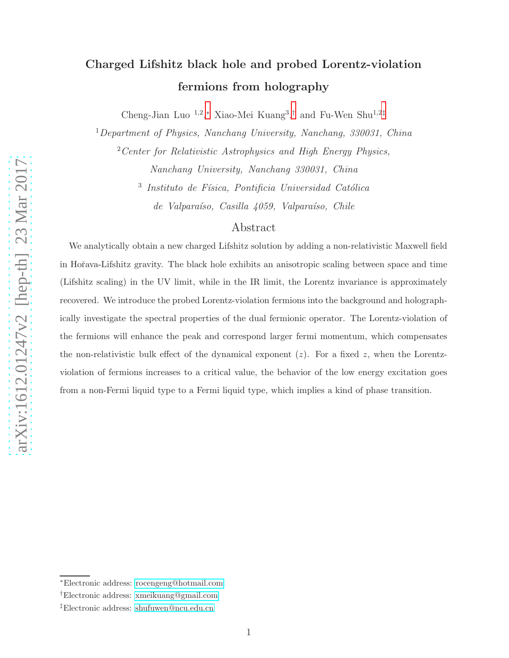# Charged Lifshitz black hole and probed Lorentz-violation fermions from holography

Cheng-Jian Luo<sup>1,2</sup>,\* Xiao-Mei Kuang<sup>3</sup>,<sup>[†](#page-0-1)</sup> and Fu-Wen Shu<sup>1,2[‡](#page-0-2)</sup>

<sup>1</sup>Department of Physics, Nanchang University, Nanchang, 330031, China

<sup>2</sup> Center for Relativistic Astrophysics and High Energy Physics, Nanchang University, Nanchang 330031, China

<sup>3</sup> Instituto de Física, Pontificia Universidad Católica  $de Valpara'so, Casilla 4059, Valpara'so, Chile$ 

# Abstract

We analytically obtain a new charged Lifshitz solution by adding a non-relativistic Maxwell field in Hoˇrava-Lifshitz gravity. The black hole exhibits an anisotropic scaling between space and time (Lifshitz scaling) in the UV limit, while in the IR limit, the Lorentz invariance is approximately recovered. We introduce the probed Lorentz-violation fermions into the background and holographically investigate the spectral properties of the dual fermionic operator. The Lorentz-violation of the fermions will enhance the peak and correspond larger fermi momentum, which compensates the non-relativistic bulk effect of the dynamical exponent  $(z)$ . For a fixed z, when the Lorentzviolation of fermions increases to a critical value, the behavior of the low energy excitation goes from a non-Fermi liquid type to a Fermi liquid type, which implies a kind of phase transition.

<span id="page-0-1"></span><span id="page-0-0"></span><sup>∗</sup>Electronic address: [rocengeng@hotmail.com](mailto:rocengeng@hotmail.com)

<span id="page-0-2"></span><sup>†</sup>Electronic address: [xmeikuang@gmail.com](mailto:xmeikuang@gmail.com)

<sup>‡</sup>Electronic address: [shufuwen@ncu.edu.cn](mailto:shufuwen@ncu.edu.cn)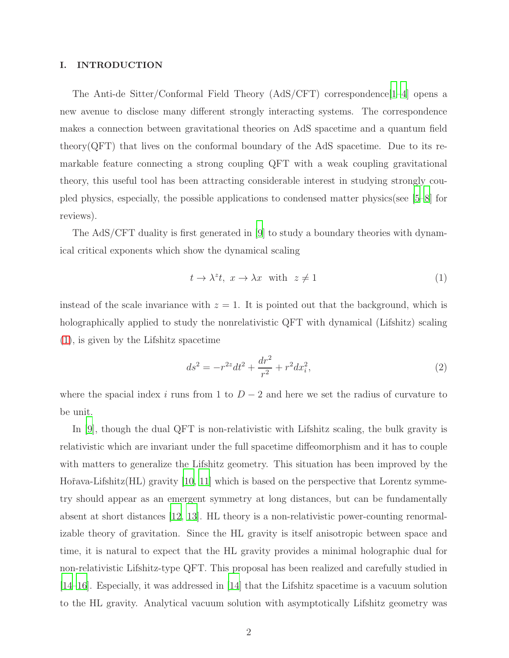#### I. INTRODUCTION

The Anti-de Sitter/Conformal Field Theory (AdS/CFT) correspondence[\[1](#page-14-0)[–4](#page-15-0)] opens a new avenue to disclose many different strongly interacting systems. The correspondence makes a connection between gravitational theories on AdS spacetime and a quantum field theory( $\text{QFT}$ ) that lives on the conformal boundary of the AdS spacetime. Due to its remarkable feature connecting a strong coupling QFT with a weak coupling gravitational theory, this useful tool has been attracting considerable interest in studying strongly coupled physics, especially, the possible applications to condensed matter physics(see [\[5](#page-15-1)[–8\]](#page-15-2) for reviews).

The AdS/CFT duality is first generated in [\[9\]](#page-15-3) to study a boundary theories with dynamical critical exponents which show the dynamical scaling

<span id="page-1-0"></span>
$$
t \to \lambda^z t, \ x \to \lambda x \quad \text{with} \quad z \neq 1 \tag{1}
$$

instead of the scale invariance with  $z = 1$ . It is pointed out that the background, which is holographically applied to study the nonrelativistic QFT with dynamical (Lifshitz) scaling [\(1\)](#page-1-0), is given by the Lifshitz spacetime

<span id="page-1-1"></span>
$$
ds^{2} = -r^{2z}dt^{2} + \frac{dr^{2}}{r^{2}} + r^{2}dx_{i}^{2},
$$
\n(2)

where the spacial index i runs from 1 to  $D-2$  and here we set the radius of curvature to be unit.

In [\[9](#page-15-3)], though the dual QFT is non-relativistic with Lifshitz scaling, the bulk gravity is relativistic which are invariant under the full spacetime diffeomorphism and it has to couple with matters to generalize the Lifshitz geometry. This situation has been improved by the Hořava-Lifshitz(HL) gravity [\[10](#page-15-4), [11\]](#page-15-5) which is based on the perspective that Lorentz symmetry should appear as an emergent symmetry at long distances, but can be fundamentally absent at short distances [\[12](#page-15-6), [13\]](#page-15-7). HL theory is a non-relativistic power-counting renormalizable theory of gravitation. Since the HL gravity is itself anisotropic between space and time, it is natural to expect that the HL gravity provides a minimal holographic dual for non-relativistic Lifshitz-type QFT. This proposal has been realized and carefully studied in [\[14](#page-15-8)[–16\]](#page-15-9). Especially, it was addressed in [\[14\]](#page-15-8) that the Lifshitz spacetime is a vacuum solution to the HL gravity. Analytical vacuum solution with asymptotically Lifshitz geometry was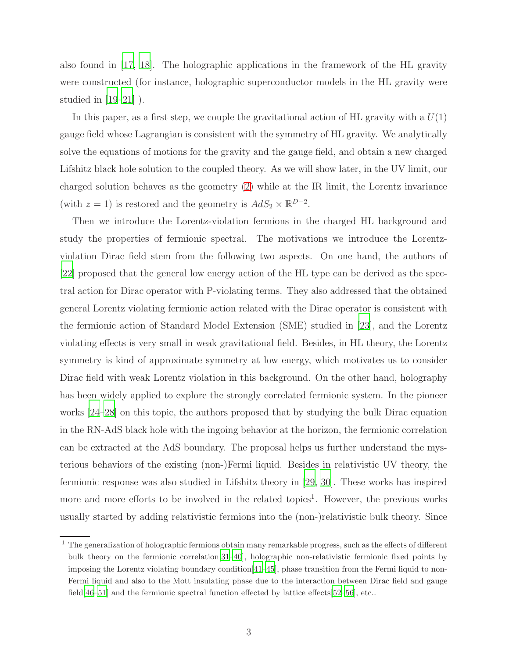also found in [\[17](#page-15-10), [18](#page-15-11)]. The holographic applications in the framework of the HL gravity were constructed (for instance, holographic superconductor models in the HL gravity were studied in  $[19-21]$ ).

In this paper, as a first step, we couple the gravitational action of HL gravity with a  $U(1)$ gauge field whose Lagrangian is consistent with the symmetry of HL gravity. We analytically solve the equations of motions for the gravity and the gauge field, and obtain a new charged Lifshitz black hole solution to the coupled theory. As we will show later, in the UV limit, our charged solution behaves as the geometry [\(2\)](#page-1-1) while at the IR limit, the Lorentz invariance (with  $z = 1$ ) is restored and the geometry is  $AdS_2 \times \mathbb{R}^{D-2}$ .

Then we introduce the Lorentz-violation fermions in the charged HL background and study the properties of fermionic spectral. The motivations we introduce the Lorentzviolation Dirac field stem from the following two aspects. On one hand, the authors of [\[22](#page-16-2)] proposed that the general low energy action of the HL type can be derived as the spectral action for Dirac operator with P-violating terms. They also addressed that the obtained general Lorentz violating fermionic action related with the Dirac operator is consistent with the fermionic action of Standard Model Extension (SME) studied in [\[23\]](#page-16-3), and the Lorentz violating effects is very small in weak gravitational field. Besides, in HL theory, the Lorentz symmetry is kind of approximate symmetry at low energy, which motivates us to consider Dirac field with weak Lorentz violation in this background. On the other hand, holography has been widely applied to explore the strongly correlated fermionic system. In the pioneer works [\[24](#page-16-4)[–28\]](#page-16-5) on this topic, the authors proposed that by studying the bulk Dirac equation in the RN-AdS black hole with the ingoing behavior at the horizon, the fermionic correlation can be extracted at the AdS boundary. The proposal helps us further understand the mysterious behaviors of the existing (non-)Fermi liquid. Besides in relativistic UV theory, the fermionic response was also studied in Lifshitz theory in [\[29,](#page-16-6) [30\]](#page-16-7). These works has inspired more and more efforts to be involved in the related topics<sup>1</sup>. However, the previous works usually started by adding relativistic fermions into the (non-)relativistic bulk theory. Since

<sup>&</sup>lt;sup>1</sup> The generalization of holographic fermions obtain many remarkable progress, such as the effects of different bulk theory on the fermionic correlation[\[31](#page-16-8)[–40\]](#page-17-0), holographic non-relativistic fermionic fixed points by imposing the Lorentz violating boundary condition[\[41](#page-17-1)[–45](#page-17-2)], phase transition from the Fermi liquid to non-Fermi liquid and also to the Mott insulating phase due to the interaction between Dirac field and gauge field[\[46](#page-17-3)[–51\]](#page-18-0) and the fermionic spectral function effected by lattice effects[\[52](#page-18-1)[–56\]](#page-18-2), etc..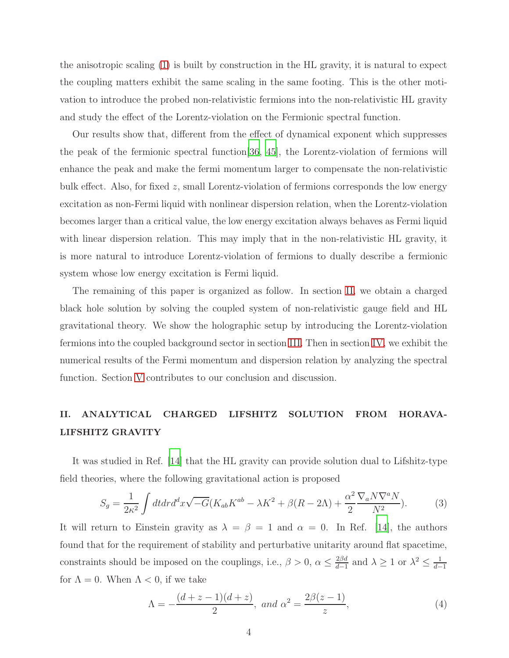the anisotropic scaling [\(1\)](#page-1-0) is built by construction in the HL gravity, it is natural to expect the coupling matters exhibit the same scaling in the same footing. This is the other motivation to introduce the probed non-relativistic fermions into the non-relativistic HL gravity and study the effect of the Lorentz-violation on the Fermionic spectral function.

Our results show that, different from the effect of dynamical exponent which suppresses the peak of the fermionic spectral function[\[36](#page-17-4), [45](#page-17-2)], the Lorentz-violation of fermions will enhance the peak and make the fermi momentum larger to compensate the non-relativistic bulk effect. Also, for fixed z, small Lorentz-violation of fermions corresponds the low energy excitation as non-Fermi liquid with nonlinear dispersion relation, when the Lorentz-violation becomes larger than a critical value, the low energy excitation always behaves as Fermi liquid with linear dispersion relation. This may imply that in the non-relativistic HL gravity, it is more natural to introduce Lorentz-violation of fermions to dually describe a fermionic system whose low energy excitation is Fermi liquid.

The remaining of this paper is organized as follow. In section [II,](#page-3-0) we obtain a charged black hole solution by solving the coupled system of non-relativistic gauge field and HL gravitational theory. We show the holographic setup by introducing the Lorentz-violation fermions into the coupled background sector in section [III.](#page-7-0) Then in section [IV,](#page-10-0) we exhibit the numerical results of the Fermi momentum and dispersion relation by analyzing the spectral function. Section [V](#page-13-0) contributes to our conclusion and discussion.

# <span id="page-3-0"></span>II. ANALYTICAL CHARGED LIFSHITZ SOLUTION FROM HORAVA-LIFSHITZ GRAVITY

It was studied in Ref. [\[14](#page-15-8)] that the HL gravity can provide solution dual to Lifshitz-type field theories, where the following gravitational action is proposed

<span id="page-3-1"></span>
$$
S_g = \frac{1}{2\kappa^2} \int dt dr d^d x \sqrt{-G} (K_{ab} K^{ab} - \lambda K^2 + \beta (R - 2\Lambda) + \frac{\alpha^2}{2} \frac{\nabla_a N \nabla^a N}{N^2}).
$$
 (3)

It will return to Einstein gravity as  $\lambda = \beta = 1$  and  $\alpha = 0$ . In Ref. [\[14\]](#page-15-8), the authors found that for the requirement of stability and perturbative unitarity around flat spacetime, constraints should be imposed on the couplings, i.e.,  $\beta > 0$ ,  $\alpha \leq \frac{2\beta d}{d-1}$  $\frac{2\beta d}{d-1}$  and  $\lambda \geq 1$  or  $\lambda^2 \leq \frac{1}{d-1}$  $d-1$ for  $\Lambda = 0$ . When  $\Lambda < 0$ , if we take

<span id="page-3-2"></span>
$$
\Lambda = -\frac{(d+z-1)(d+z)}{2}, \text{ and } \alpha^2 = \frac{2\beta(z-1)}{z},\tag{4}
$$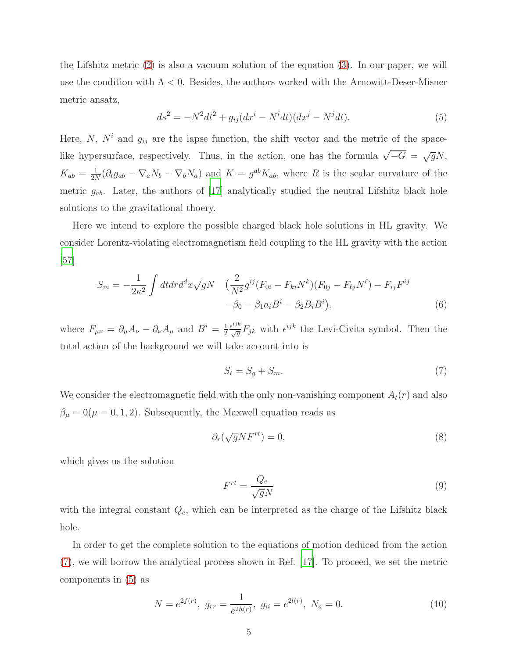the Lifshitz metric [\(2\)](#page-1-1) is also a vacuum solution of the equation [\(3\)](#page-3-1). In our paper, we will use the condition with  $\Lambda < 0$ . Besides, the authors worked with the Arnowitt-Deser-Misner metric ansatz,

<span id="page-4-1"></span>
$$
ds^{2} = -N^{2}dt^{2} + g_{ij}(dx^{i} - N^{i}dt)(dx^{j} - N^{j}dt).
$$
\n(5)

Here,  $N$ ,  $N<sup>i</sup>$  and  $g<sub>ij</sub>$  are the lapse function, the shift vector and the metric of the spacelike hypersurface, respectively. Thus, in the action, one has the formula  $\sqrt{-G} = \sqrt{g}N$ ,  $K_{ab} = \frac{1}{2N}$  $\frac{1}{2N}(\partial_t g_{ab} - \nabla_a N_b - \nabla_b N_a)$  and  $K = g^{ab} K_{ab}$ , where R is the scalar curvature of the metric  $g_{ab}$ . Later, the authors of [\[17](#page-15-10)] analytically studied the neutral Lifshitz black hole solutions to the gravitational thoery.

Here we intend to explore the possible charged black hole solutions in HL gravity. We consider Lorentz-violating electromagnetism field coupling to the HL gravity with the action [\[57\]](#page-18-3)

$$
S_m = -\frac{1}{2\kappa^2} \int dt dr d^d x \sqrt{g} N \quad \left(\frac{2}{N^2} g^{ij} (F_{0i} - F_{ki} N^k)(F_{0j} - F_{\ell j} N^\ell) - F_{ij} F^{ij} \right. \\ \left. -\beta_0 - \beta_1 a_i B^i - \beta_2 B_i B^i \right), \tag{6}
$$

where  $F_{\mu\nu} = \partial_{\mu}A_{\nu} - \partial_{\nu}A_{\mu}$  and  $B^i = \frac{1}{2}$ 2  $\frac{\epsilon^{ijk}}{\sqrt{g}}F_{jk}$  with  $\epsilon^{ijk}$  the Levi-Civita symbol. Then the total action of the background we will take account into is

<span id="page-4-0"></span>
$$
S_t = S_g + S_m. \tag{7}
$$

We consider the electromagnetic field with the only non-vanishing component  $A_t(r)$  and also  $\beta_{\mu} = 0(\mu = 0, 1, 2)$ . Subsequently, the Maxwell equation reads as

<span id="page-4-3"></span>
$$
\partial_r(\sqrt{g}NF^{rt}) = 0,\tag{8}
$$

which gives us the solution

$$
F^{rt} = \frac{Q_e}{\sqrt{g}N} \tag{9}
$$

with the integral constant  $Q_e$ , which can be interpreted as the charge of the Lifshitz black hole.

In order to get the complete solution to the equations of motion deduced from the action [\(7\)](#page-4-0), we will borrow the analytical process shown in Ref. [\[17\]](#page-15-10). To proceed, we set the metric components in [\(5\)](#page-4-1) as

<span id="page-4-2"></span>
$$
N = e^{2f(r)}, \ g_{rr} = \frac{1}{e^{2h(r)}}, \ g_{ii} = e^{2l(r)}, \ N_a = 0.
$$
 (10)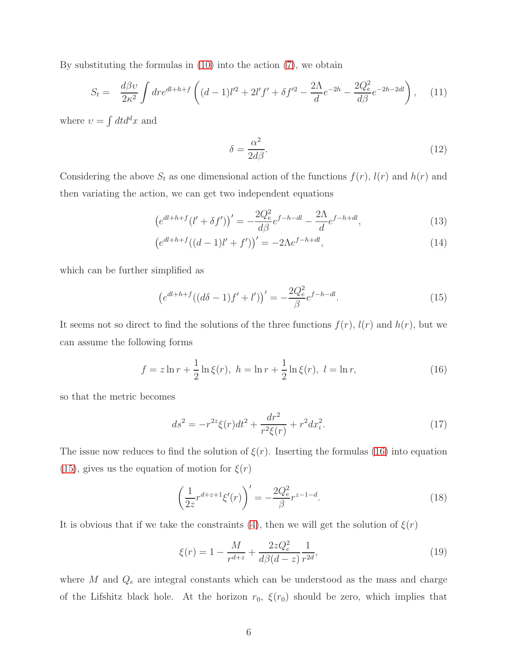By substituting the formulas in [\(10\)](#page-4-2) into the action [\(7\)](#page-4-0), we obtain

$$
S_t = \frac{d\beta v}{2\kappa^2} \int dr e^{dl + h + f} \left( (d - 1)l'^2 + 2l'f' + \delta f'^2 - \frac{2\Lambda}{d}e^{-2h} - \frac{2Q_e^2}{d\beta}e^{-2h - 2dl} \right), \quad (11)
$$

where  $v = \int dt d^dx$  and

<span id="page-5-4"></span>
$$
\delta = \frac{\alpha^2}{2d\beta}.\tag{12}
$$

Considering the above  $S_t$  as one dimensional action of the functions  $f(r)$ ,  $l(r)$  and  $h(r)$  and then variating the action, we can get two independent equations

$$
\left(e^{dl+h+f}(l'+\delta f')\right)' = -\frac{2Q_e^2}{d\beta}e^{f-h-dl} - \frac{2\Lambda}{d}e^{f-h+dl},\tag{13}
$$

$$
\left(e^{dl+h+f}((d-1)l'+f')\right)' = -2\Lambda e^{f-h+dl},\tag{14}
$$

which can be further simplified as

<span id="page-5-1"></span>
$$
\left(e^{dl+h+f}((d\delta - 1)f' + l')\right)' = -\frac{2Q_e^2}{\beta}e^{f-h - dl}.\tag{15}
$$

It seems not so direct to find the solutions of the three functions  $f(r)$ ,  $l(r)$  and  $h(r)$ , but we can assume the following forms

<span id="page-5-0"></span>
$$
f = z \ln r + \frac{1}{2} \ln \xi(r), \ h = \ln r + \frac{1}{2} \ln \xi(r), \ l = \ln r,
$$
 (16)

so that the metric becomes

<span id="page-5-2"></span>
$$
ds^{2} = -r^{2z}\xi(r)dt^{2} + \frac{dr^{2}}{r^{2}\xi(r)} + r^{2}dx_{i}^{2}.
$$
 (17)

The issue now reduces to find the solution of  $\xi(r)$ . Inserting the formulas [\(16\)](#page-5-0) into equation [\(15\)](#page-5-1), gives us the equation of motion for  $\xi(r)$ 

$$
\left(\frac{1}{2z}r^{d+z+1}\xi'(r)\right)' = -\frac{2Q_e^2}{\beta}r^{z-1-d}.\tag{18}
$$

It is obvious that if we take the constraints [\(4\)](#page-3-2), then we will get the solution of  $\xi(r)$ 

<span id="page-5-3"></span>
$$
\xi(r) = 1 - \frac{M}{r^{d+z}} + \frac{2zQ_e^2}{d\beta(d-z)} \frac{1}{r^{2d}},\tag{19}
$$

where  $M$  and  $Q_e$  are integral constants which can be understood as the mass and charge of the Lifshitz black hole. At the horizon  $r_0$ ,  $\xi(r_0)$  should be zero, which implies that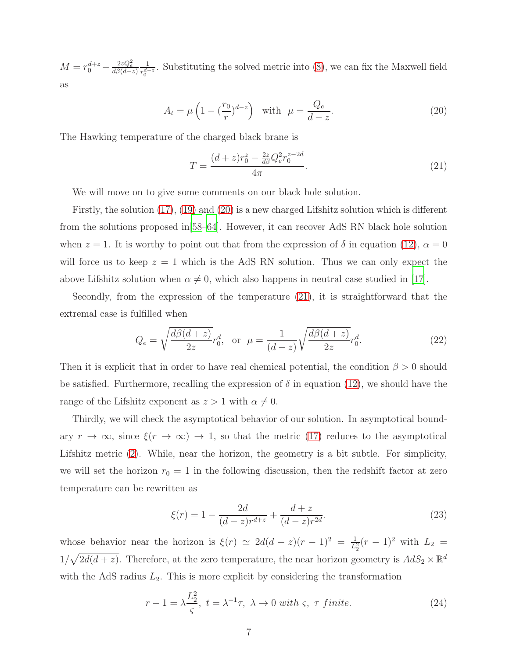$M = r_0^{d+z} + \frac{2zQ_e^2}{d\beta(d-z)}$ 1  $\frac{1}{r_0^{d-z}}$ . Substituting the solved metric into [\(8\)](#page-4-3), we can fix the Maxwell field as

<span id="page-6-0"></span>
$$
A_t = \mu \left( 1 - \left( \frac{r_0}{r} \right)^{d-z} \right) \quad \text{with} \quad \mu = \frac{Q_e}{d-z}.
$$
 (20)

The Hawking temperature of the charged black brane is

<span id="page-6-1"></span>
$$
T = \frac{(d+z)r_0^z - \frac{2z}{d\beta}Q_e^2r_0^{z-2d}}{4\pi}.
$$
\n(21)

We will move on to give some comments on our black hole solution.

Firstly, the solution [\(17\)](#page-5-2), [\(19\)](#page-5-3) and [\(20\)](#page-6-0) is a new charged Lifshitz solution which is different from the solutions proposed in[\[58](#page-18-4)[–64\]](#page-19-0). However, it can recover AdS RN black hole solution when  $z = 1$ . It is worthy to point out that from the expression of  $\delta$  in equation [\(12\)](#page-5-4),  $\alpha = 0$ will force us to keep  $z = 1$  which is the AdS RN solution. Thus we can only expect the above Lifshitz solution when  $\alpha \neq 0$ , which also happens in neutral case studied in [\[17\]](#page-15-10).

Secondly, from the expression of the temperature [\(21\)](#page-6-1), it is straightforward that the extremal case is fulfilled when

<span id="page-6-2"></span>
$$
Q_e = \sqrt{\frac{d\beta(d+z)}{2z}} r_0^d, \text{ or } \mu = \frac{1}{(d-z)} \sqrt{\frac{d\beta(d+z)}{2z}} r_0^d.
$$
 (22)

Then it is explicit that in order to have real chemical potential, the condition  $\beta > 0$  should be satisfied. Furthermore, recalling the expression of  $\delta$  in equation [\(12\)](#page-5-4), we should have the range of the Lifshitz exponent as  $z > 1$  with  $\alpha \neq 0$ .

Thirdly, we will check the asymptotical behavior of our solution. In asymptotical boundary  $r \to \infty$ , since  $\xi(r \to \infty) \to 1$ , so that the metric [\(17\)](#page-5-2) reduces to the asymptotical Lifshitz metric [\(2\)](#page-1-1). While, near the horizon, the geometry is a bit subtle. For simplicity, we will set the horizon  $r_0 = 1$  in the following discussion, then the redshift factor at zero temperature can be rewritten as

$$
\xi(r) = 1 - \frac{2d}{(d-z)r^{d+z}} + \frac{d+z}{(d-z)r^{2d}}.\tag{23}
$$

whose behavior near the horizon is  $\xi(r) \simeq 2d(d+z)(r-1)^2 = \frac{1}{L_2^2}(r-1)^2$  with  $L_2 =$  $1/\sqrt{2d(d+z)}$ . Therefore, at the zero temperature, the near horizon geometry is  $AdS_2 \times \mathbb{R}^d$ with the AdS radius  $L_2$ . This is more explicit by considering the transformation

$$
r - 1 = \lambda \frac{L_2^2}{\varsigma}, \ t = \lambda^{-1} \tau, \ \lambda \to 0 \ with \ \varsigma, \ \tau \ finite.
$$
 (24)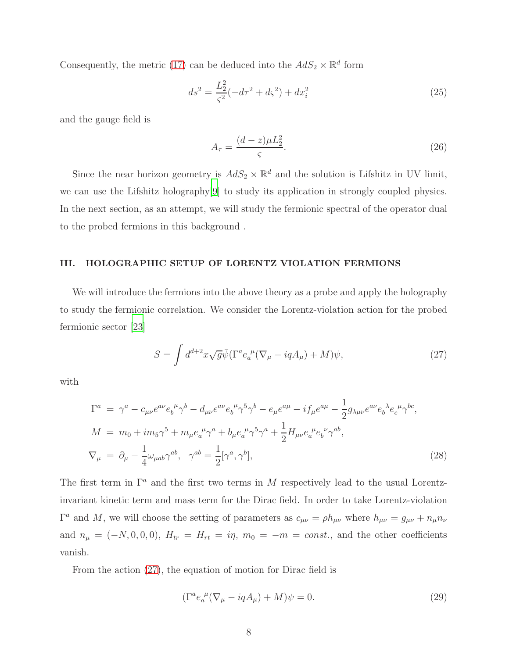Consequently, the metric [\(17\)](#page-5-2) can be deduced into the  $AdS_2 \times \mathbb{R}^d$  form

$$
ds^{2} = \frac{L_{2}^{2}}{\varsigma^{2}}(-d\tau^{2} + d\varsigma^{2}) + dx_{i}^{2}
$$
\n(25)

and the gauge field is

$$
A_{\tau} = \frac{(d-z)\mu L_2^2}{\varsigma}.
$$
\n(26)

Since the near horizon geometry is  $AdS_2 \times \mathbb{R}^d$  and the solution is Lifshitz in UV limit, we can use the Lifshitz holography[\[9\]](#page-15-3) to study its application in strongly coupled physics. In the next section, as an attempt, we will study the fermionic spectral of the operator dual to the probed fermions in this background .

#### <span id="page-7-0"></span>III. HOLOGRAPHIC SETUP OF LORENTZ VIOLATION FERMIONS

We will introduce the fermions into the above theory as a probe and apply the holography to study the fermionic correlation. We consider the Lorentz-violation action for the probed fermionic sector [\[23\]](#page-16-3)

<span id="page-7-1"></span>
$$
S = \int d^{d+2}x \sqrt{g} \bar{\psi} (\Gamma^a e_a^{\ \mu} (\nabla_\mu - iqA_\mu) + M) \psi,
$$
 (27)

with

$$
\Gamma^{a} = \gamma^{a} - c_{\mu\nu}e^{a\nu}e_{b}^{\ \mu}\gamma^{b} - d_{\mu\nu}e^{a\nu}e_{b}^{\ \mu}\gamma^{5}\gamma^{b} - e_{\mu}e^{a\mu} - if_{\mu}e^{a\mu} - \frac{1}{2}g_{\lambda\mu\nu}e^{a\nu}e_{b}^{\ \lambda}e_{c}^{\ \mu}\gamma^{bc},
$$
  
\n
$$
M = m_{0} + im_{5}\gamma^{5} + m_{\mu}e_{a}^{\ \mu}\gamma^{a} + b_{\mu}e_{a}^{\ \mu}\gamma^{5}\gamma^{a} + \frac{1}{2}H_{\mu\nu}e_{a}^{\ \mu}e_{b}^{\ \nu}\gamma^{ab},
$$
  
\n
$$
\nabla_{\mu} = \partial_{\mu} - \frac{1}{4}\omega_{\mu ab}\gamma^{ab}, \quad \gamma^{ab} = \frac{1}{2}[\gamma^{a}, \gamma^{b}],
$$
\n(28)

The first term in  $\Gamma^a$  and the first two terms in M respectively lead to the usual Lorentzinvariant kinetic term and mass term for the Dirac field. In order to take Lorentz-violation  $\Gamma^a$  and M, we will choose the setting of parameters as  $c_{\mu\nu} = \rho h_{\mu\nu}$  where  $h_{\mu\nu} = g_{\mu\nu} + n_{\mu}n_{\nu}$ and  $n_{\mu} = (-N, 0, 0, 0), H_{tr} = H_{rt} = i\eta, m_0 = -m = const.,$  and the other coefficients vanish.

From the action [\(27\)](#page-7-1), the equation of motion for Dirac field is

<span id="page-7-2"></span>
$$
(\Gamma^a e_a^{\ \mu} (\nabla_\mu - iqA_\mu) + M)\psi = 0. \tag{29}
$$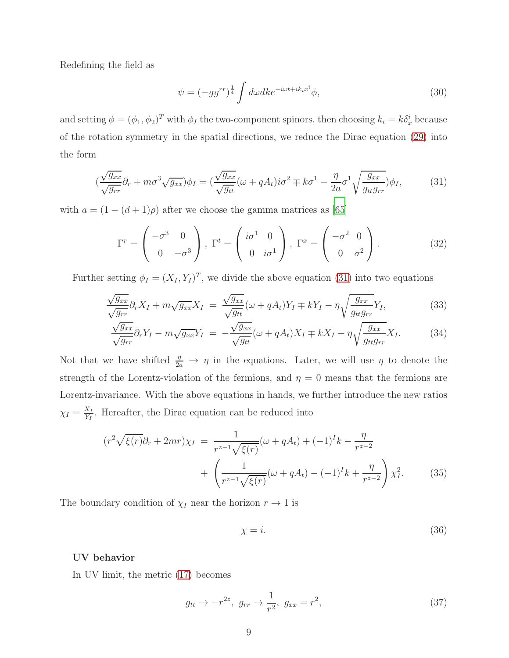Redefining the field as

$$
\psi = (-gg^{rr})^{\frac{1}{4}} \int d\omega dk e^{-i\omega t + ik_i x^i} \phi,
$$
\n(30)

and setting  $\phi = (\phi_1, \phi_2)^T$  with  $\phi_I$  the two-component spinors, then choosing  $k_i = k \delta_x^i$  because of the rotation symmetry in the spatial directions, we reduce the Dirac equation [\(29\)](#page-7-2) into the form

<span id="page-8-0"></span>
$$
\left(\frac{\sqrt{g_{xx}}}{\sqrt{g_{rr}}}\partial_r + m\sigma^3 \sqrt{g_{xx}}\right)\phi_I = \left(\frac{\sqrt{g_{xx}}}{\sqrt{g_{tt}}}(\omega + qA_t)i\sigma^2 \mp k\sigma^1 - \frac{\eta}{2a}\sigma^1 \sqrt{\frac{g_{xx}}{g_{tt}g_{rr}}}\right)\phi_I,\tag{31}
$$

with  $a = (1 - (d + 1)\rho)$  after we choose the gamma matrices as [\[65\]](#page-19-1)

<span id="page-8-1"></span>
$$
\Gamma^r = \begin{pmatrix} -\sigma^3 & 0 \\ 0 & -\sigma^3 \end{pmatrix}, \ \Gamma^t = \begin{pmatrix} i\sigma^1 & 0 \\ 0 & i\sigma^1 \end{pmatrix}, \ \Gamma^x = \begin{pmatrix} -\sigma^2 & 0 \\ 0 & \sigma^2 \end{pmatrix}.
$$
 (32)

Further setting  $\phi_I = (X_I, Y_I)^T$ , we divide the above equation [\(31\)](#page-8-0) into two equations

$$
\frac{\sqrt{g_{xx}}}{\sqrt{g_{rr}}} \partial_r X_I + m \sqrt{g_{xx}} X_I = \frac{\sqrt{g_{xx}}}{\sqrt{g_{tt}}} (\omega + qA_t) Y_I \mp kY_I - \eta \sqrt{\frac{g_{xx}}{g_{tt}g_{rr}}} Y_I, \tag{33}
$$

$$
\frac{\sqrt{g_{xx}}}{\sqrt{g_{rr}}} \partial_r Y_I - m \sqrt{g_{xx}} Y_I = -\frac{\sqrt{g_{xx}}}{\sqrt{g_{tt}}} (\omega + qA_t) X_I \mp kX_I - \eta \sqrt{\frac{g_{xx}}{g_{tt}g_{rr}}} X_I.
$$
 (34)

Not that we have shifted  $\frac{\eta}{2a} \to \eta$  in the equations. Later, we will use  $\eta$  to denote the strength of the Lorentz-violation of the fermions, and  $\eta = 0$  means that the fermions are Lorentz-invariance. With the above equations in hands, we further introduce the new ratios  $\chi_I = \frac{X_I}{Y_I}$  $\frac{X_I}{Y_I}$ . Hereafter, the Dirac equation can be reduced into

<span id="page-8-2"></span>
$$
(r^2 \sqrt{\xi(r)} \partial_r + 2mr) \chi_I = \frac{1}{r^{z-1} \sqrt{\xi(r)}} (\omega + qA_t) + (-1)^I k - \frac{\eta}{r^{z-2}} + \left( \frac{1}{r^{z-1} \sqrt{\xi(r)}} (\omega + qA_t) - (-1)^I k + \frac{\eta}{r^{z-2}} \right) \chi_I^2.
$$
 (35)

The boundary condition of  $\chi_I$  near the horizon  $r \to 1$  is

$$
\chi = i. \tag{36}
$$

# UV behavior

In UV limit, the metric [\(17\)](#page-5-2) becomes

$$
g_{tt} \to -r^{2z}, \ g_{rr} \to \frac{1}{r^2}, \ g_{xx} = r^2,
$$
\n(37)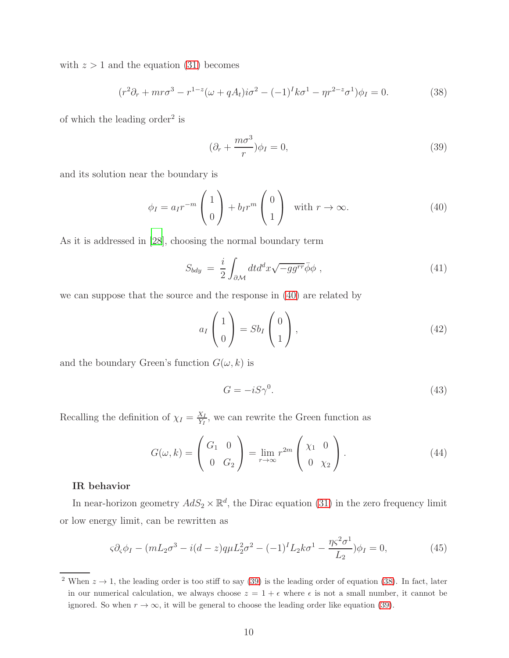with  $z > 1$  and the equation [\(31\)](#page-8-0) becomes

<span id="page-9-2"></span>
$$
(r^2\partial_r + mr\sigma^3 - r^{1-z}(\omega + qA_t)i\sigma^2 - (-1)^I k\sigma^1 - \eta r^{2-z}\sigma^1)\phi_I = 0.
$$
 (38)

of which the leading order<sup>2</sup> is

<span id="page-9-1"></span>
$$
(\partial_r + \frac{m\sigma^3}{r})\phi_I = 0,\t\t(39)
$$

and its solution near the boundary is

<span id="page-9-0"></span>
$$
\phi_I = a_I r^{-m} \begin{pmatrix} 1 \\ 0 \end{pmatrix} + b_I r^m \begin{pmatrix} 0 \\ 1 \end{pmatrix} \quad \text{with } r \to \infty.
$$
 (40)

As it is addressed in [\[28\]](#page-16-5), choosing the normal boundary term

$$
S_{bdy} = \frac{i}{2} \int_{\partial \mathcal{M}} dt d^d x \sqrt{-gg^{rr}} \bar{\phi} \phi , \qquad (41)
$$

we can suppose that the source and the response in [\(40\)](#page-9-0) are related by

$$
a_I \begin{pmatrix} 1 \\ 0 \end{pmatrix} = Sb_I \begin{pmatrix} 0 \\ 1 \end{pmatrix}, \tag{42}
$$

and the boundary Green's function  $G(\omega, k)$  is

$$
G = -iS\gamma^0. \tag{43}
$$

Recalling the definition of  $\chi_I = \frac{X_I}{Y_I}$  $\frac{X_I}{Y_I}$ , we can rewrite the Green function as

$$
G(\omega, k) = \begin{pmatrix} G_1 & 0 \\ 0 & G_2 \end{pmatrix} = \lim_{r \to \infty} r^{2m} \begin{pmatrix} \chi_1 & 0 \\ 0 & \chi_2 \end{pmatrix}.
$$
 (44)

## IR behavior

In near-horizon geometry  $AdS_2 \times \mathbb{R}^d$ , the Dirac equation [\(31\)](#page-8-0) in the zero frequency limit or low energy limit, can be rewritten as

$$
\varsigma \partial_{\varsigma} \phi_{I} - (mL_{2}\sigma^{3} - i(d-z)q\mu L_{2}^{2}\sigma^{2} - (-1)^{I}L_{2}k\sigma^{1} - \frac{\eta \varsigma^{2}\sigma^{1}}{L_{2}}) \phi_{I} = 0, \qquad (45)
$$

<sup>&</sup>lt;sup>2</sup> When  $z \to 1$ , the leading order is too stiff to say [\(39\)](#page-9-1) is the leading order of equation [\(38\)](#page-9-2). In fact, later in our numerical calculation, we always choose  $z = 1 + \epsilon$  where  $\epsilon$  is not a small number, it cannot be ignored. So when  $r \to \infty$ , it will be general to choose the leading order like equation [\(39\)](#page-9-1).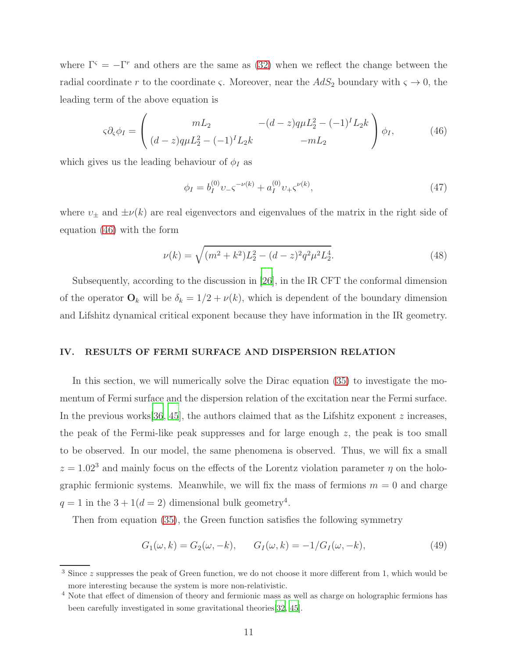where  $\Gamma^{\varsigma} = -\Gamma^{r}$  and others are the same as [\(32\)](#page-8-1) when we reflect the change between the radial coordinate r to the coordinate  $\varsigma$ . Moreover, near the  $AdS_2$  boundary with  $\varsigma \to 0$ , the leading term of the above equation is

<span id="page-10-1"></span>
$$
\varsigma \partial_{\varsigma} \phi_{I} = \begin{pmatrix} mL_{2} & -(d-z)q\mu L_{2}^{2} - (-1)^{I}L_{2}k \\ (d-z)q\mu L_{2}^{2} - (-1)^{I}L_{2}k & -mL_{2} \end{pmatrix} \phi_{I}, \qquad (46)
$$

which gives us the leading behaviour of  $\phi_I$  as

$$
\phi_I = b_I^{(0)} \nu_- \varsigma^{-\nu(k)} + a_I^{(0)} \nu_+ \varsigma^{\nu(k)},\tag{47}
$$

where  $v_{\pm}$  and  $\pm \nu(k)$  are real eigenvectors and eigenvalues of the matrix in the right side of equation [\(46\)](#page-10-1) with the form

<span id="page-10-2"></span>
$$
\nu(k) = \sqrt{(m^2 + k^2)L_2^2 - (d-z)^2 q^2 \mu^2 L_2^4}.
$$
\n(48)

Subsequently, according to the discussion in [\[26](#page-16-9)], in the IR CFT the conformal dimension of the operator  $\mathbf{O}_k$  will be  $\delta_k = 1/2 + \nu(k)$ , which is dependent of the boundary dimension and Lifshitz dynamical critical exponent because they have information in the IR geometry.

## <span id="page-10-0"></span>IV. RESULTS OF FERMI SURFACE AND DISPERSION RELATION

In this section, we will numerically solve the Dirac equation [\(35\)](#page-8-2) to investigate the momentum of Fermi surface and the dispersion relation of the excitation near the Fermi surface. In the previous works  $[36, 45]$  $[36, 45]$  $[36, 45]$  $[36, 45]$ , the authors claimed that as the Lifshitz exponent z increases, the peak of the Fermi-like peak suppresses and for large enough  $z$ , the peak is too small to be observed. In our model, the same phenomena is observed. Thus, we will fix a small  $z = 1.02<sup>3</sup>$  and mainly focus on the effects of the Lorentz violation parameter  $\eta$  on the holographic fermionic systems. Meanwhile, we will fix the mass of fermions  $m = 0$  and charge  $q = 1$  in the  $3 + 1(d = 2)$  dimensional bulk geometry<sup>4</sup>.

Then from equation [\(35\)](#page-8-2), the Green function satisfies the following symmetry

<span id="page-10-3"></span>
$$
G_1(\omega, k) = G_2(\omega, -k), \qquad G_I(\omega, k) = -1/G_I(\omega, -k), \tag{49}
$$

<sup>&</sup>lt;sup>3</sup> Since z suppresses the peak of Green function, we do not choose it more different from 1, which would be more interesting because the system is more non-relativistic.

<sup>&</sup>lt;sup>4</sup> Note that effect of dimension of theory and fermionic mass as well as charge on holographic fermions has been carefully investigated in some gravitational theories[\[32,](#page-17-5) [45\]](#page-17-2).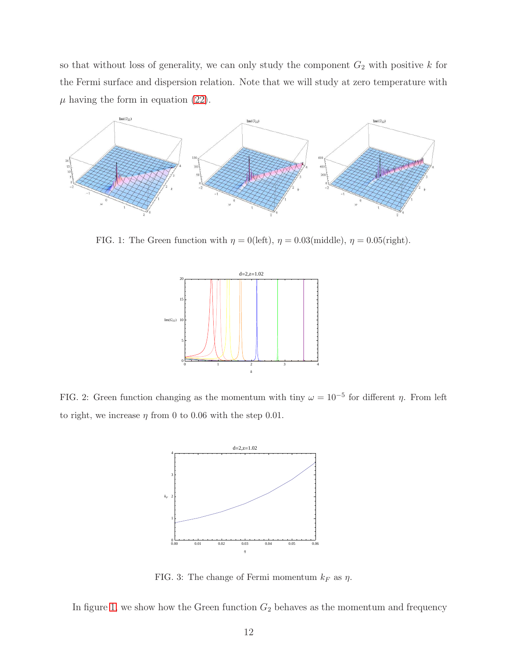so that without loss of generality, we can only study the component  $G_2$  with positive k for the Fermi surface and dispersion relation. Note that we will study at zero temperature with  $\mu$  having the form in equation [\(22\)](#page-6-2).



<span id="page-11-0"></span>FIG. 1: The Green function with  $\eta = 0$ (left),  $\eta = 0.03$ (middle),  $\eta = 0.05$ (right).



<span id="page-11-1"></span>FIG. 2: Green function changing as the momentum with tiny  $\omega = 10^{-5}$  for different  $\eta$ . From left to right, we increase  $\eta$  from 0 to 0.06 with the step 0.01.



<span id="page-11-2"></span>FIG. 3: The change of Fermi momentum  $k_F$  as  $\eta$ .

In figure [1,](#page-11-0) we show how the Green function  $G_2$  behaves as the momentum and frequency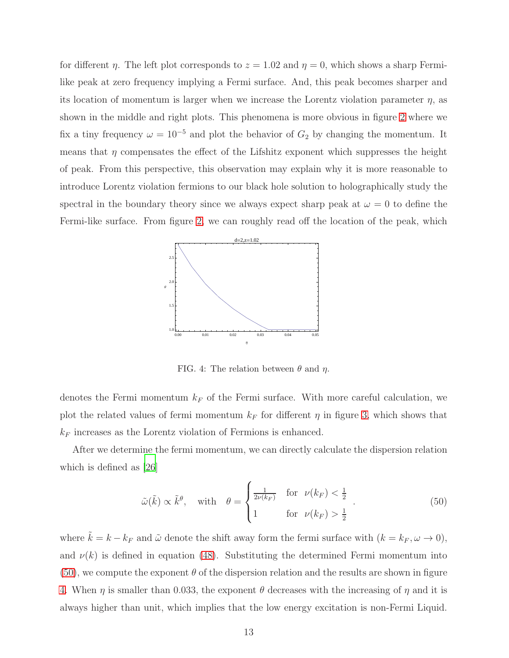for different  $\eta$ . The left plot corresponds to  $z = 1.02$  and  $\eta = 0$ , which shows a sharp Fermilike peak at zero frequency implying a Fermi surface. And, this peak becomes sharper and its location of momentum is larger when we increase the Lorentz violation parameter  $\eta$ , as shown in the middle and right plots. This phenomena is more obvious in figure [2](#page-11-1) where we fix a tiny frequency  $\omega = 10^{-5}$  and plot the behavior of  $G_2$  by changing the momentum. It means that  $\eta$  compensates the effect of the Lifshitz exponent which suppresses the height of peak. From this perspective, this observation may explain why it is more reasonable to introduce Lorentz violation fermions to our black hole solution to holographically study the spectral in the boundary theory since we always expect sharp peak at  $\omega = 0$  to define the Fermi-like surface. From figure [2,](#page-11-1) we can roughly read off the location of the peak, which



<span id="page-12-1"></span>FIG. 4: The relation between  $\theta$  and  $\eta$ .

denotes the Fermi momentum  $k_F$  of the Fermi surface. With more careful calculation, we plot the related values of fermi momentum  $k_F$  for different  $\eta$  in figure [3,](#page-11-2) which shows that  $k_F$  increases as the Lorentz violation of Fermions is enhanced.

After we determine the fermi momentum, we can directly calculate the dispersion relation which is defined as [\[26\]](#page-16-9)

<span id="page-12-0"></span>
$$
\tilde{\omega}(\tilde{k}) \propto \tilde{k}^{\theta}, \quad \text{with} \quad \theta = \begin{cases} \frac{1}{2\nu(k_F)} & \text{for } \nu(k_F) < \frac{1}{2} \\ 1 & \text{for } \nu(k_F) > \frac{1}{2} \end{cases} . \tag{50}
$$

where  $\tilde{k} = k - k_F$  and  $\tilde{\omega}$  denote the shift away form the fermi surface with  $(k = k_F, \omega \to 0)$ , and  $\nu(k)$  is defined in equation [\(48\)](#page-10-2). Substituting the determined Fermi momentum into  $(50)$ , we compute the exponent  $\theta$  of the dispersion relation and the results are shown in figure [4.](#page-12-1) When  $\eta$  is smaller than 0.033, the exponent  $\theta$  decreases with the increasing of  $\eta$  and it is always higher than unit, which implies that the low energy excitation is non-Fermi Liquid.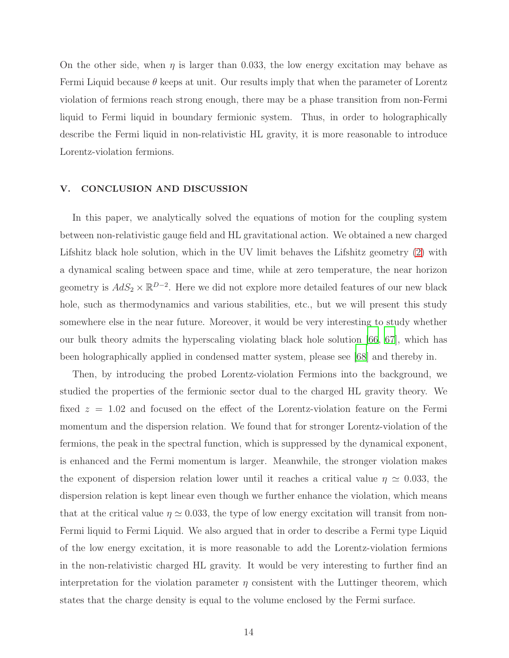On the other side, when  $\eta$  is larger than 0.033, the low energy excitation may behave as Fermi Liquid because  $\theta$  keeps at unit. Our results imply that when the parameter of Lorentz violation of fermions reach strong enough, there may be a phase transition from non-Fermi liquid to Fermi liquid in boundary fermionic system. Thus, in order to holographically describe the Fermi liquid in non-relativistic HL gravity, it is more reasonable to introduce Lorentz-violation fermions.

#### <span id="page-13-0"></span>V. CONCLUSION AND DISCUSSION

In this paper, we analytically solved the equations of motion for the coupling system between non-relativistic gauge field and HL gravitational action. We obtained a new charged Lifshitz black hole solution, which in the UV limit behaves the Lifshitz geometry [\(2\)](#page-1-1) with a dynamical scaling between space and time, while at zero temperature, the near horizon geometry is  $AdS_2 \times \mathbb{R}^{D-2}$ . Here we did not explore more detailed features of our new black hole, such as thermodynamics and various stabilities, etc., but we will present this study somewhere else in the near future. Moreover, it would be very interesting to study whether our bulk theory admits the hyperscaling violating black hole solution [\[66](#page-19-2), [67](#page-19-3)], which has been holographically applied in condensed matter system, please see [\[68\]](#page-19-4) and thereby in.

Then, by introducing the probed Lorentz-violation Fermions into the background, we studied the properties of the fermionic sector dual to the charged HL gravity theory. We fixed  $z = 1.02$  and focused on the effect of the Lorentz-violation feature on the Fermi momentum and the dispersion relation. We found that for stronger Lorentz-violation of the fermions, the peak in the spectral function, which is suppressed by the dynamical exponent, is enhanced and the Fermi momentum is larger. Meanwhile, the stronger violation makes the exponent of dispersion relation lower until it reaches a critical value  $\eta \simeq 0.033$ , the dispersion relation is kept linear even though we further enhance the violation, which means that at the critical value  $\eta \simeq 0.033$ , the type of low energy excitation will transit from non-Fermi liquid to Fermi Liquid. We also argued that in order to describe a Fermi type Liquid of the low energy excitation, it is more reasonable to add the Lorentz-violation fermions in the non-relativistic charged HL gravity. It would be very interesting to further find an interpretation for the violation parameter  $\eta$  consistent with the Luttinger theorem, which states that the charge density is equal to the volume enclosed by the Fermi surface.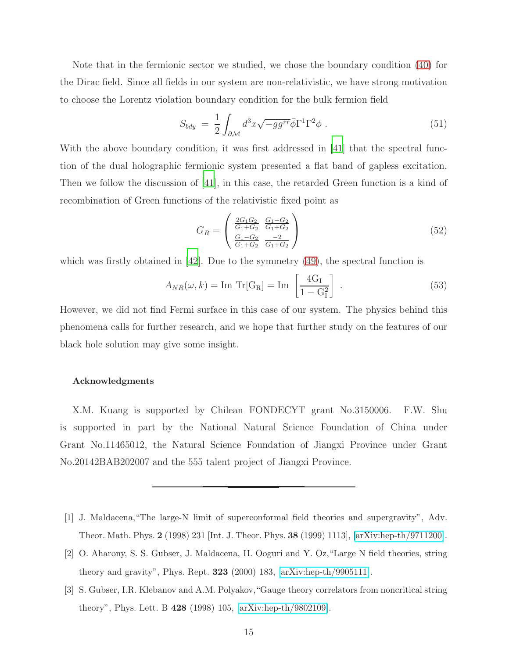Note that in the fermionic sector we studied, we chose the boundary condition [\(40\)](#page-9-0) for the Dirac field. Since all fields in our system are non-relativistic, we have strong motivation to choose the Lorentz violation boundary condition for the bulk fermion field

$$
S_{bdy} = \frac{1}{2} \int_{\partial \mathcal{M}} d^3x \sqrt{-gg^{rr}} \bar{\phi} \Gamma^1 \Gamma^2 \phi . \tag{51}
$$

With the above boundary condition, it was first addressed in [\[41](#page-17-1)] that the spectral function of the dual holographic fermionic system presented a flat band of gapless excitation. Then we follow the discussion of [\[41\]](#page-17-1), in this case, the retarded Green function is a kind of recombination of Green functions of the relativistic fixed point as

$$
G_R = \begin{pmatrix} \frac{2G_1G_2}{G_1+G_2} & \frac{G_1-G_2}{G_1+G_2} \\ \frac{G_1-G_2}{G_1+G_2} & \frac{-2}{G_1+G_2} \end{pmatrix}
$$
 (52)

which was firstly obtained in [\[42](#page-17-6)]. Due to the symmetry  $(49)$ , the spectral function is

$$
A_{NR}(\omega, k) = \text{Im Tr}[G_R] = \text{Im}\left[\frac{4G_I}{1 - G_I^2}\right].
$$
\n(53)

However, we did not find Fermi surface in this case of our system. The physics behind this phenomena calls for further research, and we hope that further study on the features of our black hole solution may give some insight.

#### Acknowledgments

X.M. Kuang is supported by Chilean FONDECYT grant No.3150006. F.W. Shu is supported in part by the National Natural Science Foundation of China under Grant No.11465012, the Natural Science Foundation of Jiangxi Province under Grant No.20142BAB202007 and the 555 talent project of Jiangxi Province.

- <span id="page-14-0"></span>[1] J. Maldacena,"The large-N limit of superconformal field theories and supergravity", Adv. Theor. Math. Phys. 2 (1998) 231 [Int. J. Theor. Phys. 38 (1999) 1113], [\[arXiv:hep-th/9711200\]](http://arxiv.org/abs/hep-th/9711200).
- [2] O. Aharony, S. S. Gubser, J. Maldacena, H. Ooguri and Y. Oz,"Large N field theories, string theory and gravity", Phys. Rept. 323 (2000) 183, [\[arXiv:hep-th/9905111\]](http://arxiv.org/abs/hep-th/9905111).
- [3] S. Gubser, I.R. Klebanov and A.M. Polyakov,"Gauge theory correlators from noncritical string theory", Phys. Lett. B 428 (1998) 105, [\[arXiv:hep-th/9802109\]](http://arxiv.org/abs/hep-th/9802109).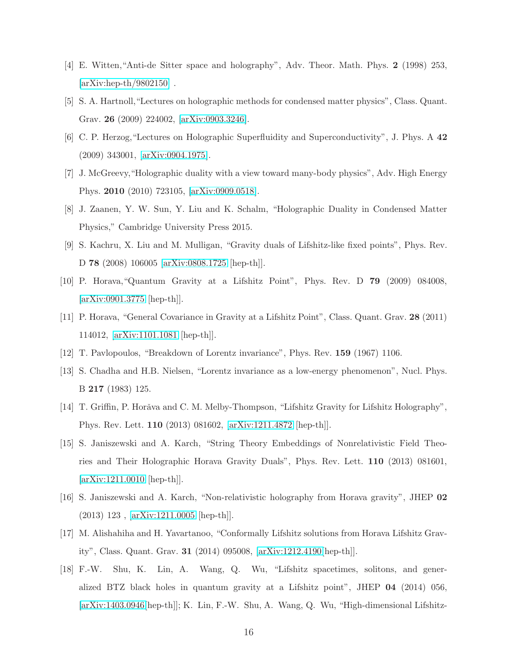- <span id="page-15-0"></span>[4] E. Witten,"Anti-de Sitter space and holography", Adv. Theor. Math. Phys. 2 (1998) 253,  $\arXiv:hep-th/9802150$ .
- <span id="page-15-1"></span>[5] S. A. Hartnoll,"Lectures on holographic methods for condensed matter physics", Class. Quant. Grav. 26 (2009) 224002, [\[arXiv:0903.3246\]](http://arxiv.org/abs/0903.3246).
- [6] C. P. Herzog,"Lectures on Holographic Superfluidity and Superconductivity", J. Phys. A 42 (2009) 343001, [\[arXiv:0904.1975\]](http://arxiv.org/abs/0904.1975).
- [7] J. McGreevy,"Holographic duality with a view toward many-body physics", Adv. High Energy Phys. 2010 (2010) 723105, [\[arXiv:0909.0518\]](http://arxiv.org/abs/0909.0518).
- <span id="page-15-2"></span>[8] J. Zaanen, Y. W. Sun, Y. Liu and K. Schalm, "Holographic Duality in Condensed Matter Physics," Cambridge University Press 2015.
- <span id="page-15-3"></span>[9] S. Kachru, X. Liu and M. Mulligan, "Gravity duals of Lifshitz-like fixed points", Phys. Rev. D 78 (2008) 106005 [\[arXiv:0808.1725](http://arxiv.org/abs/0808.1725) [hep-th]].
- <span id="page-15-4"></span>[10] P. Horava,"Quantum Gravity at a Lifshitz Point", Phys. Rev. D 79 (2009) 084008, [\[arXiv:0901.3775](http://arxiv.org/abs/0901.3775) [hep-th]].
- <span id="page-15-5"></span>[11] P. Horava, "General Covariance in Gravity at a Lifshitz Point", Class. Quant. Grav. 28 (2011) 114012, [\[arXiv:1101.1081](http://arxiv.org/abs/1101.1081) [hep-th]].
- <span id="page-15-6"></span>[12] T. Pavlopoulos, "Breakdown of Lorentz invariance", Phys. Rev. 159 (1967) 1106.
- <span id="page-15-7"></span>[13] S. Chadha and H.B. Nielsen, "Lorentz invariance as a low-energy phenomenon", Nucl. Phys. B 217 (1983) 125.
- <span id="page-15-8"></span>[14] T. Griffin, P. Horǎva and C. M. Melby-Thompson, "Lifshitz Gravity for Lifshitz Holography", Phys. Rev. Lett. 110 (2013) 081602, [\[arXiv:1211.4872](http://arxiv.org/abs/1211.4872) [hep-th]].
- [15] S. Janiszewski and A. Karch, "String Theory Embeddings of Nonrelativistic Field Theories and Their Holographic Horava Gravity Duals", Phys. Rev. Lett. 110 (2013) 081601, [\[arXiv:1211.0010](http://arxiv.org/abs/1211.0010) [hep-th]].
- <span id="page-15-9"></span>[16] S. Janiszewski and A. Karch, "Non-relativistic holography from Horava gravity", JHEP 02 (2013) 123 , [\[arXiv:1211.0005](http://arxiv.org/abs/1211.0005) [hep-th]].
- <span id="page-15-10"></span>[17] M. Alishahiha and H. Yavartanoo, "Conformally Lifshitz solutions from Horava Lifshitz Gravity", Class. Quant. Grav. 31 (2014) 095008, [\[arXiv:1212.4190\[](http://arxiv.org/abs/1212.4190)hep-th]].
- <span id="page-15-11"></span>[18] F.-W. Shu, K. Lin, A. Wang, Q. Wu, "Lifshitz spacetimes, solitons, and generalized BTZ black holes in quantum gravity at a Lifshitz point", JHEP 04 (2014) 056, [\[arXiv:1403.0946\[](http://arxiv.org/abs/1403.0946)hep-th]]; K. Lin, F.-W. Shu, A. Wang, Q. Wu, "High-dimensional Lifshitz-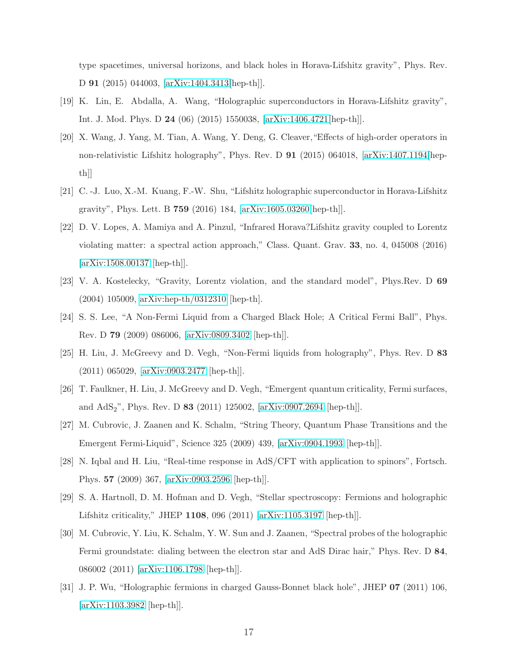type spacetimes, universal horizons, and black holes in Horava-Lifshitz gravity", Phys. Rev. D 91 (2015) 044003, [\[arXiv:1404.3413\[](http://arxiv.org/abs/1404.3413)hep-th]].

- <span id="page-16-0"></span>[19] K. Lin, E. Abdalla, A. Wang, "Holographic superconductors in Horava-Lifshitz gravity", Int. J. Mod. Phys. D 24 (06) (2015) 1550038, [\[arXiv:1406.4721\[](http://arxiv.org/abs/1406.4721)hep-th]].
- [20] X. Wang, J. Yang, M. Tian, A. Wang, Y. Deng, G. Cleaver,"Effects of high-order operators in non-relativistic Lifshitz holography", Phys. Rev. D 91 (2015) 064018, [\[arXiv:1407.1194\[](http://arxiv.org/abs/1407.1194)hepth]]
- <span id="page-16-1"></span>[21] C. -J. Luo, X.-M. Kuang, F.-W. Shu, "Lifshitz holographic superconductor in Horava-Lifshitz gravity", Phys. Lett. B 759 (2016) 184, [\[arXiv:1605.03260\[](http://arxiv.org/abs/1605.03260)hep-th]].
- <span id="page-16-2"></span>[22] D. V. Lopes, A. Mamiya and A. Pinzul, "Infrared Horava?Lifshitz gravity coupled to Lorentz violating matter: a spectral action approach," Class. Quant. Grav. 33, no. 4, 045008 (2016) [\[arXiv:1508.00137](http://arxiv.org/abs/1508.00137) [hep-th]].
- <span id="page-16-3"></span>[23] V. A. Kostelecky, "Gravity, Lorentz violation, and the standard model", Phys.Rev. D 69 (2004) 105009, [arXiv:hep-th/0312310](http://arxiv.org/abs/hep-th/0312310) [hep-th].
- <span id="page-16-4"></span>[24] S. S. Lee, "A Non-Fermi Liquid from a Charged Black Hole; A Critical Fermi Ball", Phys. Rev. D 79 (2009) 086006, [\[arXiv:0809.3402](http://arxiv.org/abs/0809.3402) [hep-th]].
- [25] H. Liu, J. McGreevy and D. Vegh, "Non-Fermi liquids from holography", Phys. Rev. D 83 (2011) 065029, [\[arXiv:0903.2477](http://arxiv.org/abs/0903.2477) [hep-th]].
- <span id="page-16-9"></span>[26] T. Faulkner, H. Liu, J. McGreevy and D. Vegh, "Emergent quantum criticality, Fermi surfaces, and  $AdS_2$ ", Phys. Rev. D 83 (2011) 125002, [\[arXiv:0907.2694](http://arxiv.org/abs/0907.2694) [hep-th]].
- [27] M. Cubrovic, J. Zaanen and K. Schalm, "String Theory, Quantum Phase Transitions and the Emergent Fermi-Liquid", Science 325 (2009) 439, [\[arXiv:0904.1993](http://arxiv.org/abs/0904.1993) [hep-th]].
- <span id="page-16-5"></span>[28] N. Iqbal and H. Liu, "Real-time response in AdS/CFT with application to spinors", Fortsch. Phys. 57 (2009) 367, [\[arXiv:0903.2596](http://arxiv.org/abs/0903.2596) [hep-th]].
- <span id="page-16-6"></span>[29] S. A. Hartnoll, D. M. Hofman and D. Vegh, "Stellar spectroscopy: Fermions and holographic Lifshitz criticality," JHEP 1108, 096 (2011) [\[arXiv:1105.3197](http://arxiv.org/abs/1105.3197) [hep-th]].
- <span id="page-16-7"></span>[30] M. Cubrovic, Y. Liu, K. Schalm, Y. W. Sun and J. Zaanen, "Spectral probes of the holographic Fermi groundstate: dialing between the electron star and AdS Dirac hair," Phys. Rev. D 84, 086002 (2011) [\[arXiv:1106.1798](http://arxiv.org/abs/1106.1798) [hep-th]].
- <span id="page-16-8"></span>[31] J. P. Wu, "Holographic fermions in charged Gauss-Bonnet black hole", JHEP 07 (2011) 106, [\[arXiv:1103.3982](http://arxiv.org/abs/1103.3982) [hep-th]].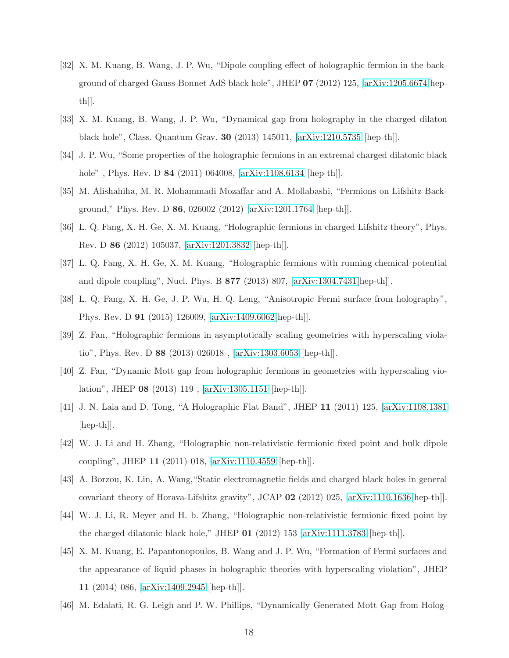- <span id="page-17-5"></span>[32] X. M. Kuang, B. Wang, J. P. Wu, "Dipole coupling effect of holographic fermion in the background of charged Gauss-Bonnet AdS black hole", JHEP 07 (2012) 125, [\[arXiv:1205.6674\[](http://arxiv.org/abs/1205.6674)hepth]].
- [33] X. M. Kuang, B. Wang, J. P. Wu, "Dynamical gap from holography in the charged dilaton black hole", Class. Quantum Grav. 30 (2013) 145011, [\[arXiv:1210.5735](http://arxiv.org/abs/1210.5735) [hep-th]].
- [34] J. P. Wu, "Some properties of the holographic fermions in an extremal charged dilatonic black hole", Phys. Rev. D **84** (2011) 064008, [\[arXiv:1108.6134](http://arxiv.org/abs/1108.6134) [hep-th]].
- [35] M. Alishahiha, M. R. Mohammadi Mozaffar and A. Mollabashi, "Fermions on Lifshitz Background," Phys. Rev. D 86, 026002 (2012) [\[arXiv:1201.1764](http://arxiv.org/abs/1201.1764) [hep-th]].
- <span id="page-17-4"></span>[36] L. Q. Fang, X. H. Ge, X. M. Kuang, "Holographic fermions in charged Lifshitz theory", Phys. Rev. D 86 (2012) 105037, [\[arXiv:1201.3832](http://arxiv.org/abs/1201.3832) [hep-th]].
- [37] L. Q. Fang, X. H. Ge, X. M. Kuang, "Holographic fermions with running chemical potential and dipole coupling", Nucl. Phys. B 877 (2013) 807, [\[arXiv:1304.7431\[](http://arxiv.org/abs/1304.7431)hep-th]].
- [38] L. Q. Fang, X. H. Ge, J. P. Wu, H. Q. Leng, "Anisotropic Fermi surface from holography", Phys. Rev. D 91 (2015) 126009, [\[arXiv:1409.6062\[](http://arxiv.org/abs/1409.6062)hep-th]].
- [39] Z. Fan, "Holographic fermions in asymptotically scaling geometries with hyperscaling violatio", Phys. Rev. D 88 (2013) 026018 , [\[arXiv:1303.6053](http://arxiv.org/abs/1303.6053) [hep-th]].
- <span id="page-17-0"></span>[40] Z. Fan, "Dynamic Mott gap from holographic fermions in geometries with hyperscaling violation", JHEP 08 (2013) 119 , [\[arXiv:1305.1151](http://arxiv.org/abs/1305.1151) [hep-th]].
- <span id="page-17-1"></span>[41] J. N. Laia and D. Tong, "A Holographic Flat Band", JHEP 11 (2011) 125, [\[arXiv:1108.1381](http://arxiv.org/abs/1108.1381) [hep-th]].
- <span id="page-17-6"></span>[42] W. J. Li and H. Zhang, "Holographic non-relativistic fermionic fixed point and bulk dipole coupling", JHEP 11 (2011) 018, [\[arXiv:1110.4559](http://arxiv.org/abs/1110.4559) [hep-th]].
- [43] A. Borzou, K. Lin, A. Wang,"Static electromagnetic fields and charged black holes in general covariant theory of Horava-Lifshitz gravity", JCAP 02 (2012) 025, [\[arXiv:1110.1636\[](http://arxiv.org/abs/1110.1636)hep-th]].
- [44] W. J. Li, R. Meyer and H. b. Zhang, "Holographic non-relativistic fermionic fixed point by the charged dilatonic black hole," JHEP 01 (2012) 153 [\[arXiv:1111.3783](http://arxiv.org/abs/1111.3783) [hep-th]].
- <span id="page-17-2"></span>[45] X. M. Kuang, E. Papantonopoulos, B. Wang and J. P. Wu, "Formation of Fermi surfaces and the appearance of liquid phases in holographic theories with hyperscaling violation", JHEP 11 (2014) 086, [\[arXiv:1409.2945](http://arxiv.org/abs/1409.2945) [hep-th]].
- <span id="page-17-3"></span>[46] M. Edalati, R. G. Leigh and P. W. Phillips, "Dynamically Generated Mott Gap from Holog-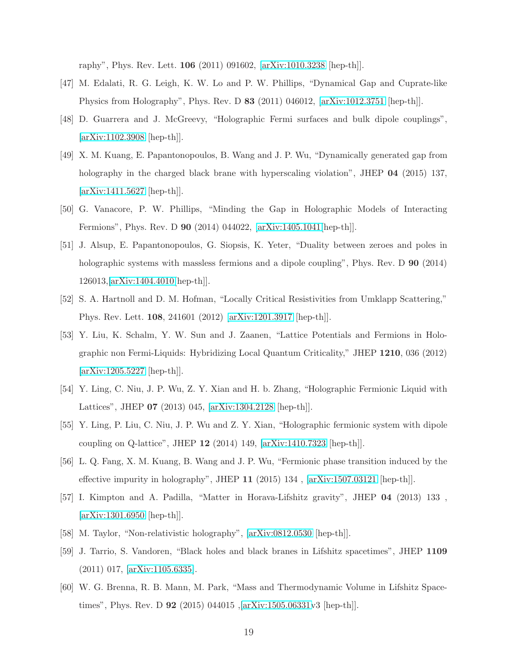raphy", Phys. Rev. Lett. 106 (2011) 091602, [\[arXiv:1010.3238](http://arxiv.org/abs/1010.3238) [hep-th]].

- [47] M. Edalati, R. G. Leigh, K. W. Lo and P. W. Phillips, "Dynamical Gap and Cuprate-like Physics from Holography", Phys. Rev. D 83 (2011) 046012, [\[arXiv:1012.3751](http://arxiv.org/abs/1012.3751) [hep-th]].
- [48] D. Guarrera and J. McGreevy, "Holographic Fermi surfaces and bulk dipole couplings", [\[arXiv:1102.3908](http://arxiv.org/abs/1102.3908) [hep-th]].
- [49] X. M. Kuang, E. Papantonopoulos, B. Wang and J. P. Wu, "Dynamically generated gap from holography in the charged black brane with hyperscaling violation", JHEP 04 (2015) 137, [\[arXiv:1411.5627](http://arxiv.org/abs/1411.5627) [hep-th]].
- [50] G. Vanacore, P. W. Phillips, "Minding the Gap in Holographic Models of Interacting Fermions", Phys. Rev. D 90 (2014) 044022, [\[arXiv:1405.1041\[](http://arxiv.org/abs/1405.1041)hep-th]].
- <span id="page-18-0"></span>[51] J. Alsup, E. Papantonopoulos, G. Siopsis, K. Yeter, "Duality between zeroes and poles in holographic systems with massless fermions and a dipole coupling", Phys. Rev. D **90** (2014) 126013,[\[arXiv:1404.4010\[](http://arxiv.org/abs/1404.4010)hep-th]].
- <span id="page-18-1"></span>[52] S. A. Hartnoll and D. M. Hofman, "Locally Critical Resistivities from Umklapp Scattering," Phys. Rev. Lett. 108, 241601 (2012) [\[arXiv:1201.3917](http://arxiv.org/abs/1201.3917) [hep-th]].
- [53] Y. Liu, K. Schalm, Y. W. Sun and J. Zaanen, "Lattice Potentials and Fermions in Holographic non Fermi-Liquids: Hybridizing Local Quantum Criticality," JHEP 1210, 036 (2012) [\[arXiv:1205.5227](http://arxiv.org/abs/1205.5227) [hep-th]].
- [54] Y. Ling, C. Niu, J. P. Wu, Z. Y. Xian and H. b. Zhang, "Holographic Fermionic Liquid with Lattices", JHEP 07 (2013) 045, [\[arXiv:1304.2128](http://arxiv.org/abs/1304.2128) [hep-th]].
- [55] Y. Ling, P. Liu, C. Niu, J. P. Wu and Z. Y. Xian, "Holographic fermionic system with dipole coupling on Q-lattice", JHEP 12 (2014) 149, [\[arXiv:1410.7323](http://arxiv.org/abs/1410.7323) [hep-th]].
- <span id="page-18-2"></span>[56] L. Q. Fang, X. M. Kuang, B. Wang and J. P. Wu, "Fermionic phase transition induced by the effective impurity in holography", JHEP 11 (2015) 134 , [\[arXiv:1507.03121](http://arxiv.org/abs/1507.03121) [hep-th]].
- <span id="page-18-3"></span>[57] I. Kimpton and A. Padilla, "Matter in Horava-Lifshitz gravity", JHEP 04 (2013) 133 , [\[arXiv:1301.6950](http://arxiv.org/abs/1301.6950) [hep-th]].
- <span id="page-18-4"></span>[58] M. Taylor, "Non-relativistic holography", [\[arXiv:0812.0530](http://arxiv.org/abs/0812.0530) [hep-th]].
- [59] J. Tarrio, S. Vandoren, "Black holes and black branes in Lifshitz spacetimes", JHEP 1109 (2011) 017, [\[arXiv:1105.6335\]](http://arxiv.org/abs/1105.6335).
- [60] W. G. Brenna, R. B. Mann, M. Park, "Mass and Thermodynamic Volume in Lifshitz Spacetimes", Phys. Rev. D 92 (2015) 044015,[\[arXiv:1505.06331v](http://arxiv.org/abs/1505.06331)3 [hep-th]].